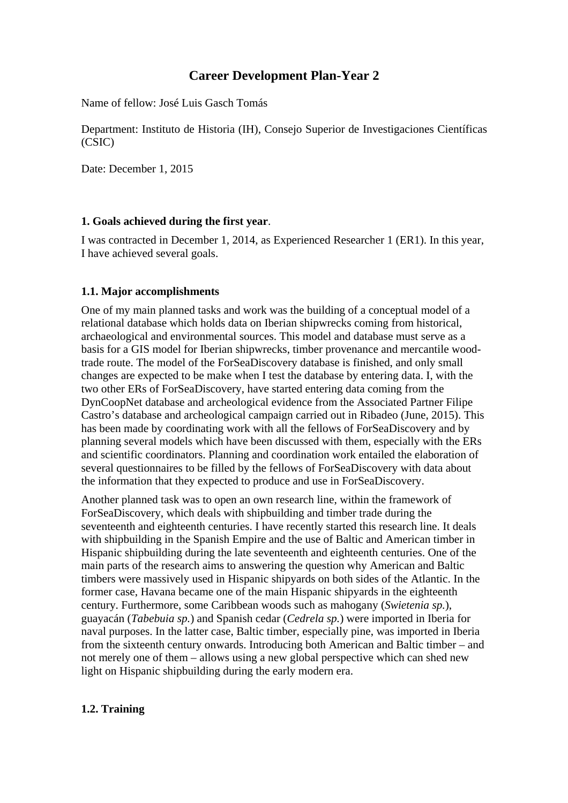# **Career Development Plan-Year 2**

Name of fellow: José Luis Gasch Tomás

Department: Instituto de Historia (IH), Consejo Superior de Investigaciones Científicas (CSIC)

Date: December 1, 2015

#### **1. Goals achieved during the first year**.

I was contracted in December 1, 2014, as Experienced Researcher 1 (ER1). In this year, I have achieved several goals.

#### **1.1. Major accomplishments**

One of my main planned tasks and work was the building of a conceptual model of a relational database which holds data on Iberian shipwrecks coming from historical, archaeological and environmental sources. This model and database must serve as a basis for a GIS model for Iberian shipwrecks, timber provenance and mercantile woodtrade route. The model of the ForSeaDiscovery database is finished, and only small changes are expected to be make when I test the database by entering data. I, with the two other ERs of ForSeaDiscovery, have started entering data coming from the DynCoopNet database and archeological evidence from the Associated Partner Filipe Castro's database and archeological campaign carried out in Ribadeo (June, 2015). This has been made by coordinating work with all the fellows of ForSeaDiscovery and by planning several models which have been discussed with them, especially with the ERs and scientific coordinators. Planning and coordination work entailed the elaboration of several questionnaires to be filled by the fellows of ForSeaDiscovery with data about the information that they expected to produce and use in ForSeaDiscovery.

Another planned task was to open an own research line, within the framework of ForSeaDiscovery, which deals with shipbuilding and timber trade during the seventeenth and eighteenth centuries. I have recently started this research line. It deals with shipbuilding in the Spanish Empire and the use of Baltic and American timber in Hispanic shipbuilding during the late seventeenth and eighteenth centuries. One of the main parts of the research aims to answering the question why American and Baltic timbers were massively used in Hispanic shipyards on both sides of the Atlantic. In the former case, Havana became one of the main Hispanic shipyards in the eighteenth century. Furthermore, some Caribbean woods such as mahogany (*Swietenia sp.*), guayacán (*Tabebuia sp.*) and Spanish cedar (*Cedrela sp.*) were imported in Iberia for naval purposes. In the latter case, Baltic timber, especially pine, was imported in Iberia from the sixteenth century onwards. Introducing both American and Baltic timber – and not merely one of them – allows using a new global perspective which can shed new light on Hispanic shipbuilding during the early modern era.

### **1.2. Training**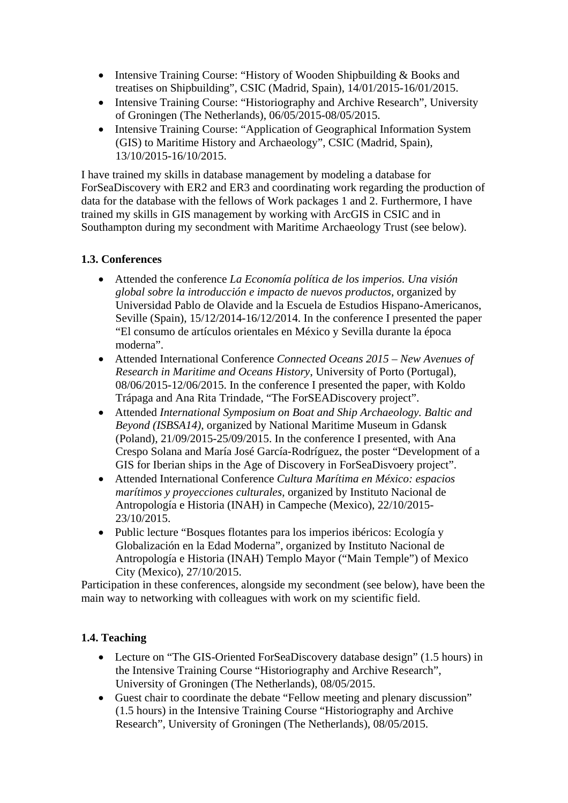- Intensive Training Course: "History of Wooden Shipbuilding & Books and treatises on Shipbuilding", CSIC (Madrid, Spain), 14/01/2015-16/01/2015.
- Intensive Training Course: "Historiography and Archive Research", University of Groningen (The Netherlands), 06/05/2015-08/05/2015.
- Intensive Training Course: "Application of Geographical Information System (GIS) to Maritime History and Archaeology", CSIC (Madrid, Spain), 13/10/2015-16/10/2015.

I have trained my skills in database management by modeling a database for ForSeaDiscovery with ER2 and ER3 and coordinating work regarding the production of data for the database with the fellows of Work packages 1 and 2. Furthermore, I have trained my skills in GIS management by working with ArcGIS in CSIC and in Southampton during my secondment with Maritime Archaeology Trust (see below).

# **1.3. Conferences**

- Attended the conference *La Economía política de los imperios. Una visión global sobre la introducción e impacto de nuevos productos*, organized by Universidad Pablo de Olavide and la Escuela de Estudios Hispano-Americanos, Seville (Spain), 15/12/2014-16/12/2014. In the conference I presented the paper "El consumo de artículos orientales en México y Sevilla durante la época moderna".
- Attended International Conference *Connected Oceans 2015 New Avenues of Research in Maritime and Oceans History*, University of Porto (Portugal), 08/06/2015-12/06/2015. In the conference I presented the paper, with Koldo Trápaga and Ana Rita Trindade, "The ForSEADiscovery project".
- Attended *International Symposium on Boat and Ship Archaeology. Baltic and Beyond (ISBSA14)*, organized by National Maritime Museum in Gdansk (Poland), 21/09/2015-25/09/2015. In the conference I presented, with Ana Crespo Solana and María José García-Rodríguez, the poster "Development of a GIS for Iberian ships in the Age of Discovery in ForSeaDisvoery project".
- Attended International Conference *Cultura Marítima en México: espacios marítimos y proyecciones culturales*, organized by Instituto Nacional de Antropología e Historia (INAH) in Campeche (Mexico), 22/10/2015- 23/10/2015.
- Public lecture "Bosques flotantes para los imperios ibéricos: Ecología y Globalización en la Edad Moderna", organized by Instituto Nacional de Antropología e Historia (INAH) Templo Mayor ("Main Temple") of Mexico City (Mexico), 27/10/2015.

Participation in these conferences, alongside my secondment (see below), have been the main way to networking with colleagues with work on my scientific field.

### **1.4. Teaching**

- Lecture on "The GIS-Oriented ForSeaDiscovery database design" (1.5 hours) in the Intensive Training Course "Historiography and Archive Research", University of Groningen (The Netherlands), 08/05/2015.
- Guest chair to coordinate the debate "Fellow meeting and plenary discussion" (1.5 hours) in the Intensive Training Course "Historiography and Archive Research", University of Groningen (The Netherlands), 08/05/2015.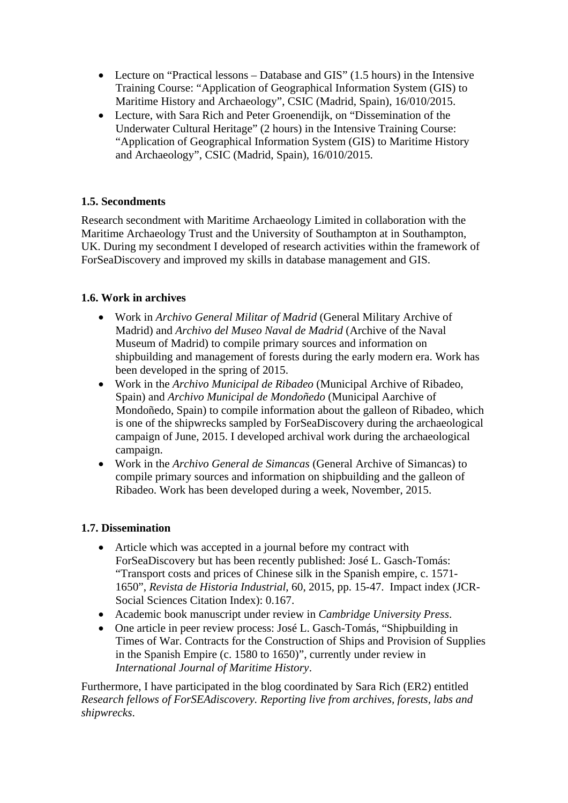- Lecture on "Practical lessons Database and GIS" (1.5 hours) in the Intensive Training Course: "Application of Geographical Information System (GIS) to Maritime History and Archaeology", CSIC (Madrid, Spain), 16/010/2015.
- Lecture, with Sara Rich and Peter Groenendijk, on "Dissemination of the Underwater Cultural Heritage" (2 hours) in the Intensive Training Course: "Application of Geographical Information System (GIS) to Maritime History and Archaeology", CSIC (Madrid, Spain), 16/010/2015.

# **1.5. Secondments**

Research secondment with Maritime Archaeology Limited in collaboration with the Maritime Archaeology Trust and the University of Southampton at in Southampton, UK. During my secondment I developed of research activities within the framework of ForSeaDiscovery and improved my skills in database management and GIS.

# **1.6. Work in archives**

- Work in *Archivo General Militar of Madrid* (General Military Archive of Madrid) and *Archivo del Museo Naval de Madrid* (Archive of the Naval Museum of Madrid) to compile primary sources and information on shipbuilding and management of forests during the early modern era. Work has been developed in the spring of 2015.
- Work in the *Archivo Municipal de Ribadeo* (Municipal Archive of Ribadeo, Spain) and *Archivo Municipal de Mondoñedo* (Municipal Aarchive of Mondoñedo, Spain) to compile information about the galleon of Ribadeo, which is one of the shipwrecks sampled by ForSeaDiscovery during the archaeological campaign of June, 2015. I developed archival work during the archaeological campaign.
- Work in the *Archivo General de Simancas* (General Archive of Simancas) to compile primary sources and information on shipbuilding and the galleon of Ribadeo. Work has been developed during a week, November, 2015.

### **1.7. Dissemination**

- Article which was accepted in a journal before my contract with ForSeaDiscovery but has been recently published: José L. Gasch-Tomás: "Transport costs and prices of Chinese silk in the Spanish empire, c. 1571- 1650", *Revista de Historia Industrial*, 60, 2015, pp. 15-47. Impact index (JCR-Social Sciences Citation Index): 0.167.
- Academic book manuscript under review in *Cambridge University Press*.
- One article in peer review process: José L. Gasch-Tomás, "Shipbuilding in Times of War. Contracts for the Construction of Ships and Provision of Supplies in the Spanish Empire (c. 1580 to 1650)", currently under review in *International Journal of Maritime History*.

Furthermore, I have participated in the blog coordinated by Sara Rich (ER2) entitled *Research fellows of ForSEAdiscovery. Reporting live from archives, forests, labs and shipwrecks*.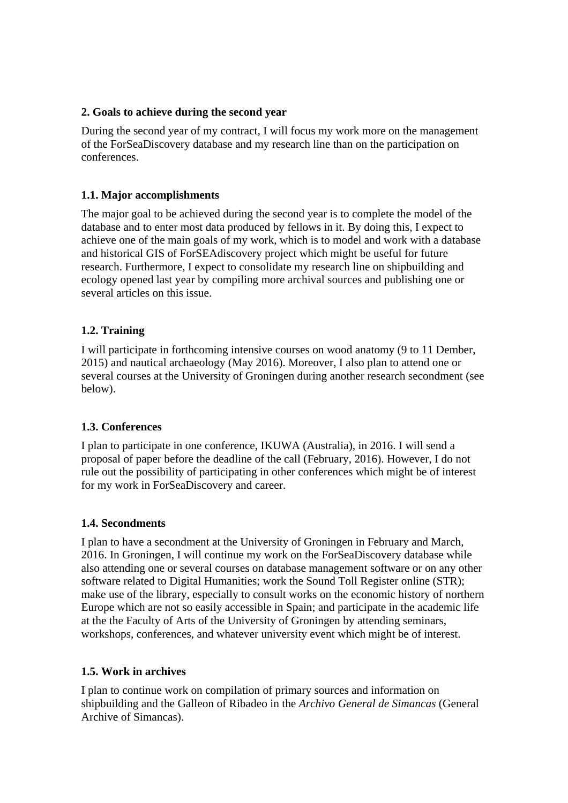#### **2. Goals to achieve during the second year**

During the second year of my contract, I will focus my work more on the management of the ForSeaDiscovery database and my research line than on the participation on conferences.

#### **1.1. Major accomplishments**

The major goal to be achieved during the second year is to complete the model of the database and to enter most data produced by fellows in it. By doing this, I expect to achieve one of the main goals of my work, which is to model and work with a database and historical GIS of ForSEAdiscovery project which might be useful for future research. Furthermore, I expect to consolidate my research line on shipbuilding and ecology opened last year by compiling more archival sources and publishing one or several articles on this issue.

### **1.2. Training**

I will participate in forthcoming intensive courses on wood anatomy (9 to 11 Dember, 2015) and nautical archaeology (May 2016). Moreover, I also plan to attend one or several courses at the University of Groningen during another research secondment (see below).

### **1.3. Conferences**

I plan to participate in one conference, IKUWA (Australia), in 2016. I will send a proposal of paper before the deadline of the call (February, 2016). However, I do not rule out the possibility of participating in other conferences which might be of interest for my work in ForSeaDiscovery and career.

#### **1.4. Secondments**

I plan to have a secondment at the University of Groningen in February and March, 2016. In Groningen, I will continue my work on the ForSeaDiscovery database while also attending one or several courses on database management software or on any other software related to Digital Humanities; work the Sound Toll Register online (STR); make use of the library, especially to consult works on the economic history of northern Europe which are not so easily accessible in Spain; and participate in the academic life at the the Faculty of Arts of the University of Groningen by attending seminars, workshops, conferences, and whatever university event which might be of interest.

#### **1.5. Work in archives**

I plan to continue work on compilation of primary sources and information on shipbuilding and the Galleon of Ribadeo in the *Archivo General de Simancas* (General Archive of Simancas).